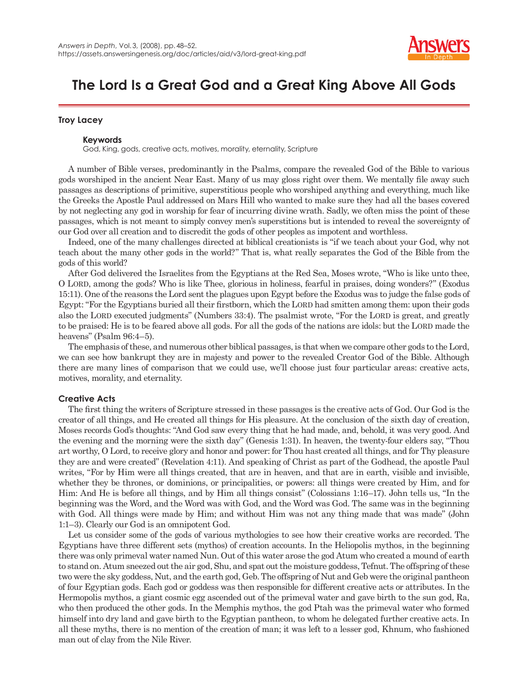

# **The Lord Is a Great God and a Great King Above All Gods**

# **Troy Lacey**

## **Keywords**

God, King, gods, creative acts, motives, morality, eternality, Scripture

A number of Bible verses, predominantly in the Psalms, compare the revealed God of the Bible to various gods worshiped in the ancient Near East. Many of us may gloss right over them. We mentally file away such passages as descriptions of primitive, superstitious people who worshiped anything and everything, much like the Greeks the Apostle Paul addressed on Mars Hill who wanted to make sure they had all the bases covered by not neglecting any god in worship for fear of incurring divine wrath. Sadly, we often miss the point of these passages, which is not meant to simply convey men's superstitions but is intended to reveal the sovereignty of our God over all creation and to discredit the gods of other peoples as impotent and worthless.

Indeed, one of the many challenges directed at biblical creationists is "if we teach about your God, why not teach about the many other gods in the world?" That is, what really separates the God of the Bible from the gods of this world?

After God delivered the Israelites from the Egyptians at the Red Sea, Moses wrote, "Who is like unto thee, O LORD, among the gods? Who is like Thee, glorious in holiness, fearful in praises, doing wonders?" (Exodus 15:11). One of the reasons the Lord sent the plagues upon Egypt before the Exodus was to judge the false gods of Egypt: "For the Egyptians buried all their firstborn, which the LORD had smitten among them: upon their gods also the LORD executed judgments" (Numbers 33:4). The psalmist wrote, "For the LORD is great, and greatly to be praised: He is to be feared above all gods. For all the gods of the nations are idols: but the LORD made the heavens" (Psalm 96:4–5).

The emphasis of these, and numerous other biblical passages, is that when we compare other gods to the Lord, we can see how bankrupt they are in majesty and power to the revealed Creator God of the Bible. Although there are many lines of comparison that we could use, we'll choose just four particular areas: creative acts, motives, morality, and eternality.

# **Creative Acts**

The first thing the writers of Scripture stressed in these passages is the creative acts of God. Our God is the creator of all things, and He created all things for His pleasure. At the conclusion of the sixth day of creation, Moses records God's thoughts: "And God saw every thing that he had made, and, behold, it was very good. And the evening and the morning were the sixth day" (Genesis 1:31). In heaven, the twenty-four elders say, "Thou art worthy, O Lord, to receive glory and honor and power: for Thou hast created all things, and for Thy pleasure they are and were created" (Revelation 4:11). And speaking of Christ as part of the Godhead, the apostle Paul writes, "For by Him were all things created, that are in heaven, and that are in earth, visible and invisible, whether they be thrones, or dominions, or principalities, or powers: all things were created by Him, and for Him: And He is before all things, and by Him all things consist" (Colossians 1:16–17). John tells us, "In the beginning was the Word, and the Word was with God, and the Word was God. The same was in the beginning with God. All things were made by Him; and without Him was not any thing made that was made" (John 1:1–3). Clearly our God is an omnipotent God.

Let us consider some of the gods of various mythologies to see how their creative works are recorded. The Egyptians have three different sets (mythos) of creation accounts. In the Heliopolis mythos, in the beginning there was only primeval water named Nun. Out of this water arose the god Atum who created a mound of earth to stand on. Atum sneezed out the air god, Shu, and spat out the moisture goddess, Tefnut. The offspring of these two were the sky goddess, Nut, and the earth god, Geb. The offspring of Nut and Geb were the original pantheon of four Egyptian gods. Each god or goddess was then responsible for different creative acts or attributes. In the Hermopolis mythos, a giant cosmic egg ascended out of the primeval water and gave birth to the sun god, Ra, who then produced the other gods. In the Memphis mythos, the god Ptah was the primeval water who formed himself into dry land and gave birth to the Egyptian pantheon, to whom he delegated further creative acts. In all these myths, there is no mention of the creation of man; it was left to a lesser god, Khnum, who fashioned man out of clay from the Nile River.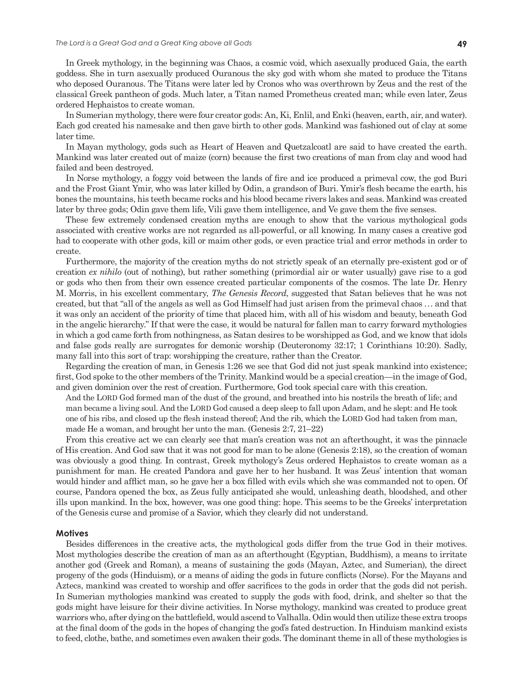In Greek mythology, in the beginning was Chaos, a cosmic void, which asexually produced Gaia, the earth goddess. She in turn asexually produced Ouranous the sky god with whom she mated to produce the Titans who deposed Ouranous. The Titans were later led by Cronos who was overthrown by Zeus and the rest of the classical Greek pantheon of gods. Much later, a Titan named Prometheus created man; while even later, Zeus ordered Hephaistos to create woman.

In Sumerian mythology, there were four creator gods: An, Ki, Enlil, and Enki (heaven, earth, air, and water). Each god created his namesake and then gave birth to other gods. Mankind was fashioned out of clay at some later time.

In Mayan mythology, gods such as Heart of Heaven and Quetzalcoatl are said to have created the earth. Mankind was later created out of maize (corn) because the first two creations of man from clay and wood had failed and been destroyed.

In Norse mythology, a foggy void between the lands of fire and ice produced a primeval cow, the god Buri and the Frost Giant Ymir, who was later killed by Odin, a grandson of Buri. Ymir's flesh became the earth, his bones the mountains, his teeth became rocks and his blood became rivers lakes and seas. Mankind was created later by three gods; Odin gave them life, Vili gave them intelligence, and Ve gave them the five senses.

These few extremely condensed creation myths are enough to show that the various mythological gods associated with creative works are not regarded as all-powerful, or all knowing. In many cases a creative god had to cooperate with other gods, kill or maim other gods, or even practice trial and error methods in order to create.

Furthermore, the majority of the creation myths do not strictly speak of an eternally pre-existent god or of creation *ex nihilo* (out of nothing), but rather something (primordial air or water usually) gave rise to a god or gods who then from their own essence created particular components of the cosmos. The late Dr. Henry M. Morris, in his excellent commentary, *The Genesis Record*, suggested that Satan believes that he was not created, but that "all of the angels as well as God Himself had just arisen from the primeval chaos . . . and that it was only an accident of the priority of time that placed him, with all of his wisdom and beauty, beneath God in the angelic hierarchy." If that were the case, it would be natural for fallen man to carry forward mythologies in which a god came forth from nothingness, as Satan desires to be worshipped as God, and we know that idols and false gods really are surrogates for demonic worship (Deuteronomy 32:17; 1 Corinthians 10:20). Sadly, many fall into this sort of trap: worshipping the creature, rather than the Creator.

Regarding the creation of man, in Genesis 1:26 we see that God did not just speak mankind into existence; first, God spoke to the other members of the Trinity. Mankind would be a special creation—in the image of God, and given dominion over the rest of creation. Furthermore, God took special care with this creation.

And the LORD God formed man of the dust of the ground, and breathed into his nostrils the breath of life; and man became a living soul. And the LORD God caused a deep sleep to fall upon Adam, and he slept: and He took one of his ribs, and closed up the flesh instead thereof; And the rib, which the LORD God had taken from man, made He a woman, and brought her unto the man. (Genesis 2:7, 21–22)

From this creative act we can clearly see that man's creation was not an afterthought, it was the pinnacle of His creation. And God saw that it was not good for man to be alone (Genesis 2:18), so the creation of woman was obviously a good thing. In contrast, Greek mythology's Zeus ordered Hephaistos to create woman as a punishment for man. He created Pandora and gave her to her husband. It was Zeus' intention that woman would hinder and afflict man, so he gave her a box filled with evils which she was commanded not to open. Of course, Pandora opened the box, as Zeus fully anticipated she would, unleashing death, bloodshed, and other ills upon mankind. In the box, however, was one good thing: hope. This seems to be the Greeks' interpretation of the Genesis curse and promise of a Savior, which they clearly did not understand.

## **Motives**

Besides differences in the creative acts, the mythological gods differ from the true God in their motives. Most mythologies describe the creation of man as an afterthought (Egyptian, Buddhism), a means to irritate another god (Greek and Roman), a means of sustaining the gods (Mayan, Aztec, and Sumerian), the direct progeny of the gods (Hinduism), or a means of aiding the gods in future conflicts (Norse). For the Mayans and Aztecs, mankind was created to worship and offer sacrifices to the gods in order that the gods did not perish. In Sumerian mythologies mankind was created to supply the gods with food, drink, and shelter so that the gods might have leisure for their divine activities. In Norse mythology, mankind was created to produce great warriors who, after dying on the battlefield, would ascend to Valhalla. Odin would then utilize these extra troops at the final doom of the gods in the hopes of changing the god's fated destruction. In Hinduism mankind exists to feed, clothe, bathe, and sometimes even awaken their gods. The dominant theme in all of these mythologies is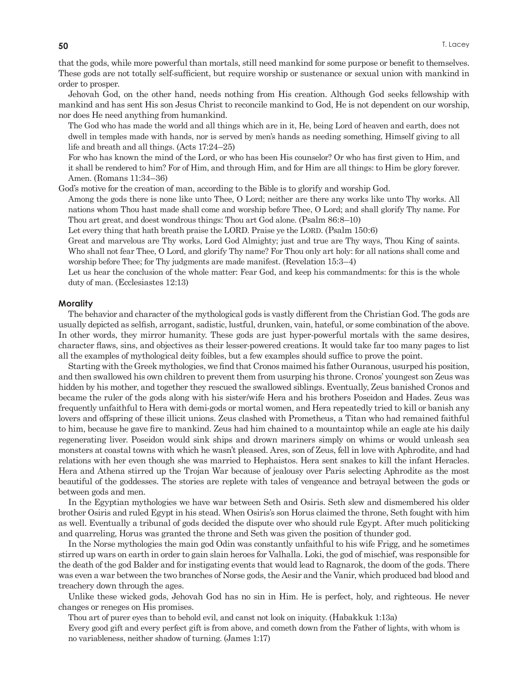that the gods, while more powerful than mortals, still need mankind for some purpose or benefit to themselves. These gods are not totally self-sufficient, but require worship or sustenance or sexual union with mankind in order to prosper.

Jehovah God, on the other hand, needs nothing from His creation. Although God seeks fellowship with mankind and has sent His son Jesus Christ to reconcile mankind to God, He is not dependent on our worship, nor does He need anything from humankind.

The God who has made the world and all things which are in it, He, being Lord of heaven and earth, does not dwell in temples made with hands, nor is served by men's hands as needing something, Himself giving to all life and breath and all things. (Acts 17:24–25)

For who has known the mind of the Lord, or who has been His counselor? Or who has first given to Him, and it shall be rendered to him? For of Him, and through Him, and for Him are all things: to Him be glory forever. Amen. (Romans 11:34–36)

God's motive for the creation of man, according to the Bible is to glorify and worship God.

Among the gods there is none like unto Thee, O Lord; neither are there any works like unto Thy works. All nations whom Thou hast made shall come and worship before Thee, O Lord; and shall glorify Thy name. For Thou art great, and doest wondrous things: Thou art God alone. (Psalm 86:8–10)

Let every thing that hath breath praise the LORD. Praise ye the LORD. (Psalm 150:6)

Great and marvelous are Thy works, Lord God Almighty; just and true are Thy ways, Thou King of saints. Who shall not fear Thee, O Lord, and glorify Thy name? For Thou only art holy: for all nations shall come and worship before Thee; for Thy judgments are made manifest. (Revelation 15:3–4)

Let us hear the conclusion of the whole matter: Fear God, and keep his commandments: for this is the whole duty of man. (Ecclesiastes 12:13)

#### **Morality**

The behavior and character of the mythological gods is vastly different from the Christian God. The gods are usually depicted as selfish, arrogant, sadistic, lustful, drunken, vain, hateful, or some combination of the above. In other words, they mirror humanity. These gods are just hyper-powerful mortals with the same desires, character flaws, sins, and objectives as their lesser-powered creations. It would take far too many pages to list all the examples of mythological deity foibles, but a few examples should suffice to prove the point.

Starting with the Greek mythologies, we find that Cronos maimed his father Ouranous, usurped his position, and then swallowed his own children to prevent them from usurping his throne. Cronos' youngest son Zeus was hidden by his mother, and together they rescued the swallowed siblings. Eventually, Zeus banished Cronos and became the ruler of the gods along with his sister/wife Hera and his brothers Poseidon and Hades. Zeus was frequently unfaithful to Hera with demi-gods or mortal women, and Hera repeatedly tried to kill or banish any lovers and offspring of these illicit unions. Zeus clashed with Prometheus, a Titan who had remained faithful to him, because he gave fire to mankind. Zeus had him chained to a mountaintop while an eagle ate his daily regenerating liver. Poseidon would sink ships and drown mariners simply on whims or would unleash sea monsters at coastal towns with which he wasn't pleased. Ares, son of Zeus, fell in love with Aphrodite, and had relations with her even though she was married to Hephaistos. Hera sent snakes to kill the infant Heracles. Hera and Athena stirred up the Trojan War because of jealousy over Paris selecting Aphrodite as the most beautiful of the goddesses. The stories are replete with tales of vengeance and betrayal between the gods or between gods and men.

In the Egyptian mythologies we have war between Seth and Osiris. Seth slew and dismembered his older brother Osiris and ruled Egypt in his stead. When Osiris's son Horus claimed the throne, Seth fought with him as well. Eventually a tribunal of gods decided the dispute over who should rule Egypt. After much politicking and quarreling, Horus was granted the throne and Seth was given the position of thunder god.

In the Norse mythologies the main god Odin was constantly unfaithful to his wife Frigg, and he sometimes stirred up wars on earth in order to gain slain heroes for Valhalla. Loki, the god of mischief, was responsible for the death of the god Balder and for instigating events that would lead to Ragnarok, the doom of the gods. There was even a war between the two branches of Norse gods, the Aesir and the Vanir, which produced bad blood and treachery down through the ages.

Unlike these wicked gods, Jehovah God has no sin in Him. He is perfect, holy, and righteous. He never changes or reneges on His promises.

Thou art of purer eyes than to behold evil, and canst not look on iniquity. (Habakkuk 1:13a) Every good gift and every perfect gift is from above, and cometh down from the Father of lights, with whom is no variableness, neither shadow of turning. (James 1:17)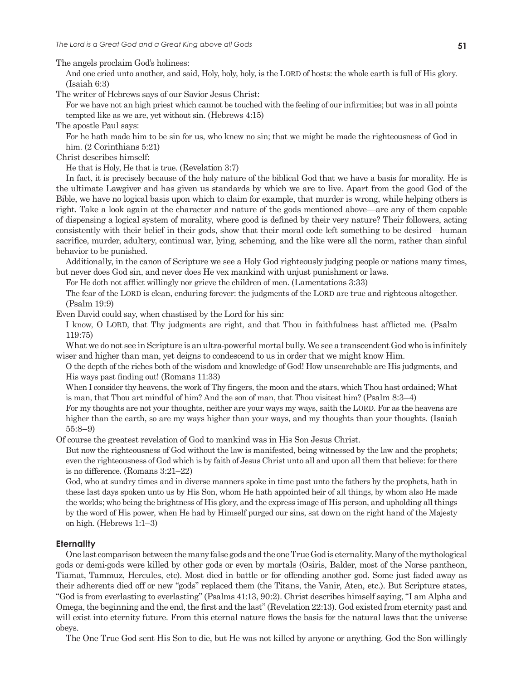The angels proclaim God's holiness:

And one cried unto another, and said, Holy, holy, holy, is the LORD of hosts: the whole earth is full of His glory. (Isaiah 6:3)

The writer of Hebrews says of our Savior Jesus Christ:

For we have not an high priest which cannot be touched with the feeling of our infirmities; but was in all points tempted like as we are, yet without sin. (Hebrews 4:15)

The apostle Paul says:

For he hath made him to be sin for us, who knew no sin; that we might be made the righteousness of God in him. (2 Corinthians 5:21)

Christ describes himself:

He that is Holy, He that is true. (Revelation 3:7)

In fact, it is precisely because of the holy nature of the biblical God that we have a basis for morality. He is the ultimate Lawgiver and has given us standards by which we are to live. Apart from the good God of the Bible, we have no logical basis upon which to claim for example, that murder is wrong, while helping others is right. Take a look again at the character and nature of the gods mentioned above—are any of them capable of dispensing a logical system of morality, where good is defined by their very nature? Their followers, acting consistently with their belief in their gods, show that their moral code left something to be desired—human sacrifice, murder, adultery, continual war, lying, scheming, and the like were all the norm, rather than sinful behavior to be punished.

Additionally, in the canon of Scripture we see a Holy God righteously judging people or nations many times, but never does God sin, and never does He vex mankind with unjust punishment or laws.

For He doth not afflict willingly nor grieve the children of men. (Lamentations 3:33)

The fear of the LORD is clean, enduring forever: the judgments of the LORD are true and righteous altogether. (Psalm 19:9)

Even David could say, when chastised by the Lord for his sin:

I know, O LORD, that Thy judgments are right, and that Thou in faithfulness hast afflicted me. (Psalm 119:75)

What we do not see in Scripture is an ultra-powerful mortal bully. We see a transcendent God who is infinitely wiser and higher than man, yet deigns to condescend to us in order that we might know Him.

O the depth of the riches both of the wisdom and knowledge of God! How unsearchable are His judgments, and His ways past finding out! (Romans 11:33)

When I consider thy heavens, the work of Thy fingers, the moon and the stars, which Thou hast ordained; What is man, that Thou art mindful of him? And the son of man, that Thou visitest him? (Psalm 8:3–4)

For my thoughts are not your thoughts, neither are your ways my ways, saith the LORD. For as the heavens are higher than the earth, so are my ways higher than your ways, and my thoughts than your thoughts. (Isaiah 55:8–9)

Of course the greatest revelation of God to mankind was in His Son Jesus Christ.

But now the righteousness of God without the law is manifested, being witnessed by the law and the prophets; even the righteousness of God which is by faith of Jesus Christ unto all and upon all them that believe: for there is no difference. (Romans 3:21–22)

God, who at sundry times and in diverse manners spoke in time past unto the fathers by the prophets, hath in these last days spoken unto us by His Son, whom He hath appointed heir of all things, by whom also He made the worlds; who being the brightness of His glory, and the express image of His person, and upholding all things by the word of His power, when He had by Himself purged our sins, sat down on the right hand of the Majesty on high. (Hebrews 1:1–3)

## **Eternality**

One last comparison between the many false gods and the one True God is eternality. Many of the mythological gods or demi-gods were killed by other gods or even by mortals (Osiris, Balder, most of the Norse pantheon, Tiamat, Tammuz, Hercules, etc). Most died in battle or for offending another god. Some just faded away as their adherents died off or new "gods" replaced them (the Titans, the Vanir, Aten, etc.). But Scripture states, "God is from everlasting to everlasting" (Psalms 41:13, 90:2). Christ describes himself saying, "I am Alpha and Omega, the beginning and the end, the first and the last" (Revelation 22:13). God existed from eternity past and will exist into eternity future. From this eternal nature flows the basis for the natural laws that the universe obeys.

The One True God sent His Son to die, but He was not killed by anyone or anything. God the Son willingly